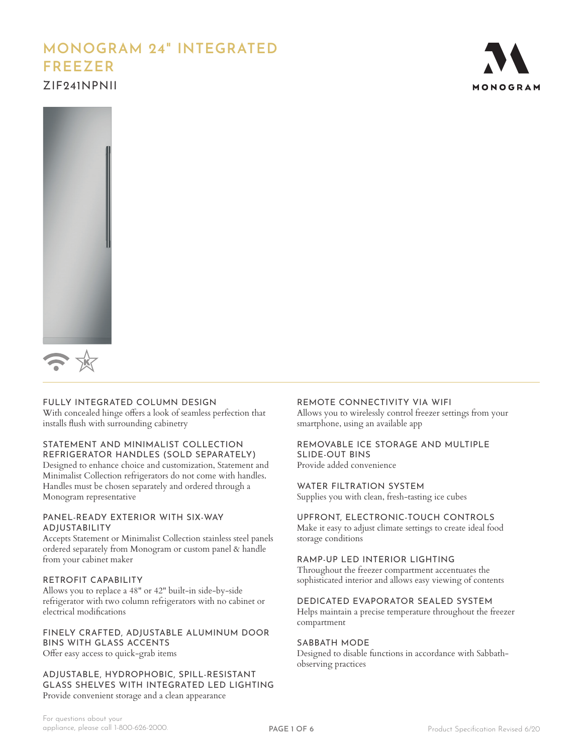# **MONOGRAM 24" INTEGRATED FREEZER** ZIF241NPNII





# FULLY INTEGRATED COLUMN DESIGN

With concealed hinge offers a look of seamless perfection that installs flush with surrounding cabinetry

# STATEMENT AND MINIMALIST COLLECTION REFRIGERATOR HANDLES (SOLD SEPARATELY)

Designed to enhance choice and customization, Statement and Minimalist Collection refrigerators do not come with handles. Handles must be chosen separately and ordered through a Monogram representative

# PANEL-READY EXTERIOR WITH SIX-WAY ADJUSTABILITY

Accepts Statement or Minimalist Collection stainless steel panels ordered separately from Monogram or custom panel & handle from your cabinet maker

# RETROFIT CAPABILITY

Allows you to replace a 48" or 42" built-in side-by-side refrigerator with two column refrigerators with no cabinet or electrical modifications

# FINELY CRAFTED, ADJUSTABLE ALUMINUM DOOR BINS WITH GLASS ACCENTS

Offer easy access to quick-grab items

# ADJUSTABLE, HYDROPHOBIC, SPILL-RESISTANT GLASS SHELVES WITH INTEGRATED LED LIGHTING Provide convenient storage and a clean appearance

REMOTE CONNECTIVITY VIA WIFI

Allows you to wirelessly control freezer settings from your smartphone, using an available app

# REMOVABLE ICE STORAGE AND MULTIPLE SLIDE-OUT BINS

Provide added convenience

WATER FILTRATION SYSTEM Supplies you with clean, fresh-tasting ice cubes

# UPFRONT, ELECTRONIC-TOUCH CONTROLS

Make it easy to adjust climate settings to create ideal food storage conditions

# RAMP-UP LED INTERIOR LIGHTING

Throughout the freezer compartment accentuates the sophisticated interior and allows easy viewing of contents

# DEDICATED EVAPORATOR SEALED SYSTEM

Helps maintain a precise temperature throughout the freezer compartment

# SABBATH MODE

Designed to disable functions in accordance with Sabbathobserving practices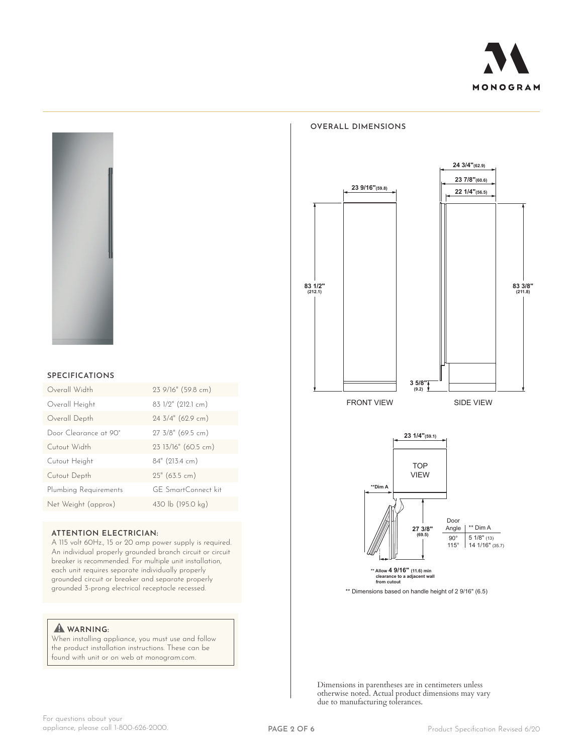



### **SPECIFICATIONS**

| Overall Width         | 23 9/16" (59.8 cm)  |
|-----------------------|---------------------|
| Overall Height        | 83 1/2" (212.1 cm)  |
| Overall Depth         | 24 3/4" (62.9 cm)   |
| Door Clearance at 90° | 27 3/8" (69.5 cm)   |
| Cutout Width          | 23 13/16" (60.5 cm) |
| Cutout Height         | 84" (213.4 cm)      |
| Cutout Depth          | 25" (63.5 cm)       |
| Plumbing Requirements | GF SmartConnect kit |
| Net Weight (approx)   | 430 lb (195.0 kg)   |

### **ATTENTION ELECTRICIAN:**

A 115 volt 60Hz., 15 or 20 amp power supply is required. An individual properly grounded branch circuit or circuit breaker is recommended. For multiple unit installation, each unit requires separate individually properly grounded circuit or breaker and separate properly grounded 3-prong electrical receptacle recessed.

### **WARNING:**

When installing appliance, you must use and follow the product installation instructions. These can be found with unit or on web at monogram.com.



**OVERALL DIMENSIONS**

**\*\* Allow 4 9/16" (11.6) min clearance to a adjacent wall from cutout**

\*\* Dimensions based on handle height of 2 9/16" (6.5)

Dimensions in parentheses are in centimeters unless otherwise noted. Actual product dimensions may vary due to manufacturing tolerances.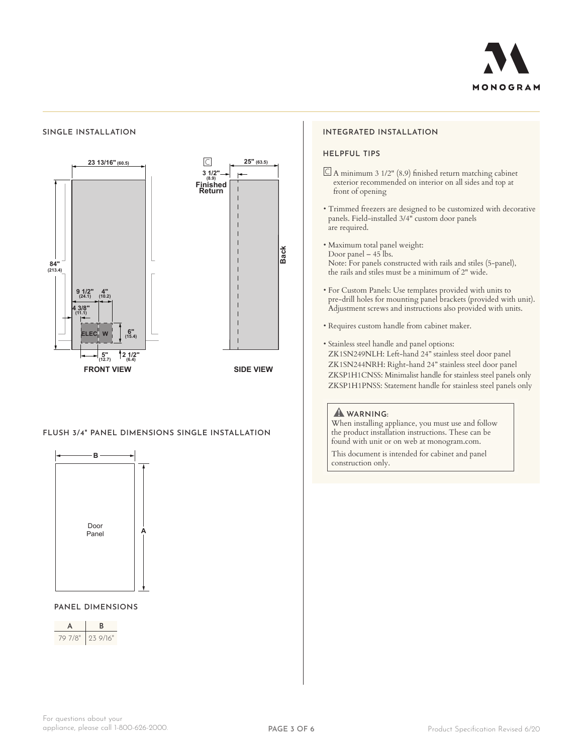

# **SINGLE INSTALLATION**



### **FLUSH 3/4" PANEL DIMENSIONS SINGLE INSTALLATION**



# **PANEL DIMENSIONS**



### **INTEGRATED INSTALLATION**

### **HELPFUL TIPS**

- $\subseteq$  A minimum 3 1/2" (8.9) finished return matching cabinet exterior recommended on interior on all sides and top at front of opening
- Trimmed freezers are designed to be customized with decorative panels. Field-installed 3/4" custom door panels are required.
- Maximum total panel weight: Door panel – 45 lbs. Note: For panels constructed with rails and stiles (5-panel), the rails and stiles must be a minimum of 2" wide.
- For Custom Panels: Use templates provided with units to pre-drill holes for mounting panel brackets (provided with unit). Adjustment screws and instructions also provided with units.
- Requires custom handle from cabinet maker.
- Stainless steel handle and panel options: ZK1SN249NLH: Left-hand 24" stainless steel door panel ZK1SN244NRH: Right-hand 24" stainless steel door panel ZKSP1H1CNSS: Minimalist handle for stainless steel panels only ZKSP1H1PNSS: Statement handle for stainless steel panels only

# **WARNING:**

When installing appliance, you must use and follow the product installation instructions. These can be found with unit or on web at monogram.com.

This document is intended for cabinet and panel construction only.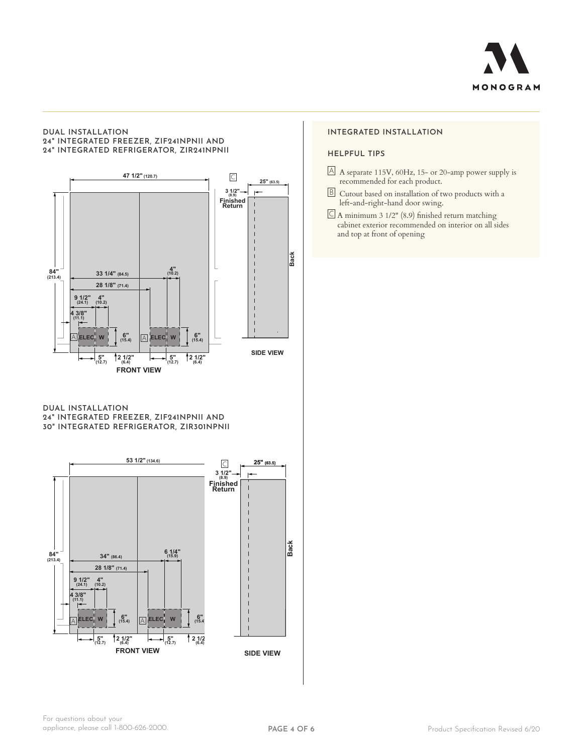

### **DUAL INSTALLATION 24" INTEGRATED FREEZER, ZIF241NPNII AND 24" INTEGRATED REFRIGERATOR, ZIR241NPNII**



**DUAL INSTALLATION 24" INTEGRATED FREEZER, ZIF241NPNII AND 30" INTEGRATED REFRIGERATOR, ZIR301NPNII**



# **INTEGRATED INSTALLATION**

### **HELPFUL TIPS**

- $\Delta$  A separate 115V, 60Hz, 15- or 20-amp power supply is recommended for each product.
- B Cutout based on installation of two products with a left-and-right-hand door swing.
- $\boxed{\subseteq}$  A minimum 3 1/2" (8.9) finished return matching cabinet exterior recommended on interior on all sides and top at front of opening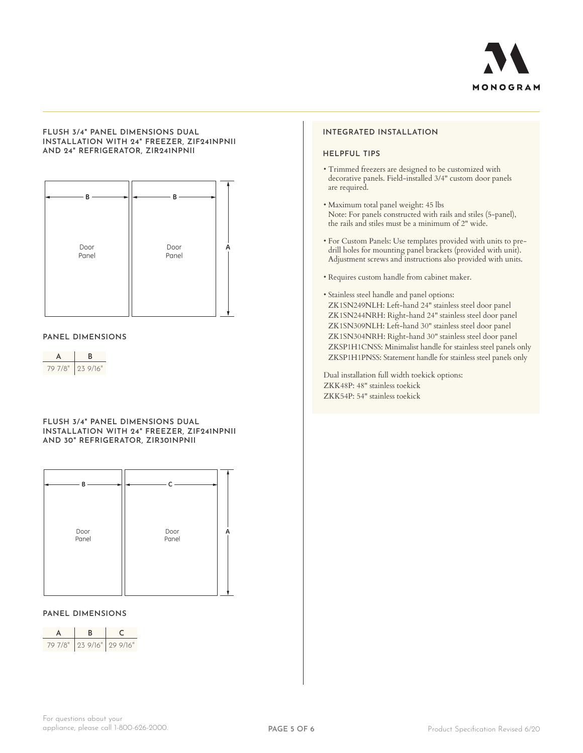

### **FLUSH 3/4" PANEL DIMENSIONS DUAL INSTALLATION WITH 24" FREEZER, ZIF241NPNII AND 24" REFRIGERATOR, ZIR241NPNII**



### **PANEL DIMENSIONS**



**FLUSH 3/4" PANEL DIMENSIONS DUAL INSTALLATION WITH 24" FREEZER, ZIF241NPNII AND 30" REFRIGERATOR, ZIR301NPNII**



# **PANEL DIMENSIONS**

| 79 7/8"   23 9/16"   29 9/16" |  |
|-------------------------------|--|

### **INTEGRATED INSTALLATION**

### **HELPFUL TIPS**

- Trimmed freezers are designed to be customized with decorative panels. Field-installed 3/4" custom door panels are required.
- Maximum total panel weight: 45 lbs Note: For panels constructed with rails and stiles (5-panel), the rails and stiles must be a minimum of 2" wide.
- For Custom Panels: Use templates provided with units to predrill holes for mounting panel brackets (provided with unit). Adjustment screws and instructions also provided with units.
- Requires custom handle from cabinet maker.
- Stainless steel handle and panel options: ZK1SN249NLH: Left-hand 24" stainless steel door panel ZK1SN244NRH: Right-hand 24" stainless steel door panel ZK1SN309NLH: Left-hand 30" stainless steel door panel ZK1SN304NRH: Right-hand 30" stainless steel door panel ZKSP1H1CNSS: Minimalist handle for stainless steel panels only ZKSP1H1PNSS: Statement handle for stainless steel panels only

Dual installation full width toekick options: ZKK48P: 48" stainless toekick ZKK54P: 54" stainless toekick